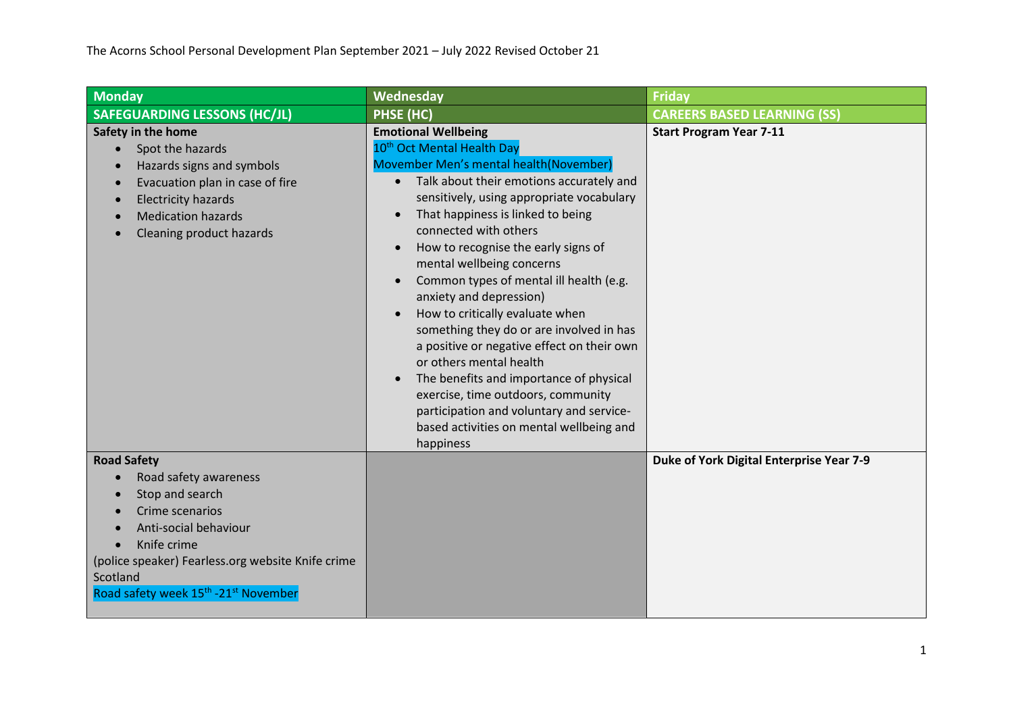| <b>Monday</b>                                                                                                                                                                                                                                              | Wednesday                                                                                                                                                                                                                                                                                                                                                                                                                                                                                                                                                                                                                                                                                                                                                                                | <b>Friday</b>                            |
|------------------------------------------------------------------------------------------------------------------------------------------------------------------------------------------------------------------------------------------------------------|------------------------------------------------------------------------------------------------------------------------------------------------------------------------------------------------------------------------------------------------------------------------------------------------------------------------------------------------------------------------------------------------------------------------------------------------------------------------------------------------------------------------------------------------------------------------------------------------------------------------------------------------------------------------------------------------------------------------------------------------------------------------------------------|------------------------------------------|
| <b>SAFEGUARDING LESSONS (HC/JL)</b>                                                                                                                                                                                                                        | PHSE (HC)                                                                                                                                                                                                                                                                                                                                                                                                                                                                                                                                                                                                                                                                                                                                                                                | <b>CAREERS BASED LEARNING (SS)</b>       |
| Safety in the home<br>Spot the hazards<br>Hazards signs and symbols<br>Evacuation plan in case of fire<br><b>Electricity hazards</b><br><b>Medication hazards</b><br>Cleaning product hazards                                                              | <b>Emotional Wellbeing</b><br>10 <sup>th</sup> Oct Mental Health Day<br>Movember Men's mental health (November)<br>Talk about their emotions accurately and<br>$\bullet$<br>sensitively, using appropriate vocabulary<br>That happiness is linked to being<br>connected with others<br>How to recognise the early signs of<br>mental wellbeing concerns<br>Common types of mental ill health (e.g.<br>$\bullet$<br>anxiety and depression)<br>How to critically evaluate when<br>something they do or are involved in has<br>a positive or negative effect on their own<br>or others mental health<br>The benefits and importance of physical<br>exercise, time outdoors, community<br>participation and voluntary and service-<br>based activities on mental wellbeing and<br>happiness | <b>Start Program Year 7-11</b>           |
| <b>Road Safety</b><br>Road safety awareness<br>Stop and search<br>Crime scenarios<br>Anti-social behaviour<br>Knife crime<br>(police speaker) Fearless.org website Knife crime<br>Scotland<br>Road safety week 15 <sup>th</sup> -21 <sup>st</sup> November |                                                                                                                                                                                                                                                                                                                                                                                                                                                                                                                                                                                                                                                                                                                                                                                          | Duke of York Digital Enterprise Year 7-9 |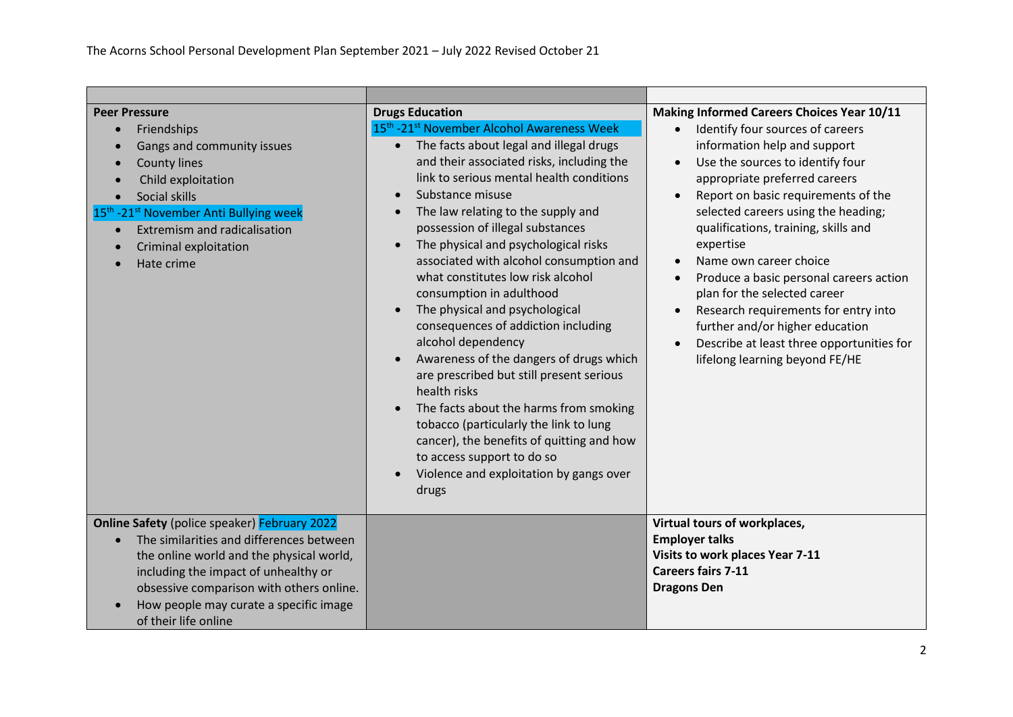| <b>Peer Pressure</b><br>Friendships<br>Gangs and community issues<br><b>County lines</b><br>Child exploitation<br>Social skills<br>15 <sup>th</sup> -21 <sup>st</sup> November Anti Bullying week<br>Extremism and radicalisation<br>Criminal exploitation<br>Hate crime                          | <b>Drugs Education</b><br>15 <sup>th</sup> -21 <sup>st</sup> November Alcohol Awareness Week<br>• The facts about legal and illegal drugs<br>and their associated risks, including the<br>link to serious mental health conditions<br>Substance misuse<br>The law relating to the supply and<br>possession of illegal substances<br>The physical and psychological risks<br>associated with alcohol consumption and<br>what constitutes low risk alcohol<br>consumption in adulthood<br>The physical and psychological<br>$\bullet$<br>consequences of addiction including<br>alcohol dependency<br>Awareness of the dangers of drugs which<br>are prescribed but still present serious<br>health risks<br>The facts about the harms from smoking<br>tobacco (particularly the link to lung<br>cancer), the benefits of quitting and how<br>to access support to do so<br>Violence and exploitation by gangs over<br>drugs | Making Informed Careers Choices Year 10/11<br>Identify four sources of careers<br>information help and support<br>Use the sources to identify four<br>$\bullet$<br>appropriate preferred careers<br>Report on basic requirements of the<br>$\bullet$<br>selected careers using the heading;<br>qualifications, training, skills and<br>expertise<br>Name own career choice<br>$\bullet$<br>Produce a basic personal careers action<br>$\bullet$<br>plan for the selected career<br>Research requirements for entry into<br>$\bullet$<br>further and/or higher education<br>Describe at least three opportunities for<br>$\bullet$<br>lifelong learning beyond FE/HE |
|---------------------------------------------------------------------------------------------------------------------------------------------------------------------------------------------------------------------------------------------------------------------------------------------------|----------------------------------------------------------------------------------------------------------------------------------------------------------------------------------------------------------------------------------------------------------------------------------------------------------------------------------------------------------------------------------------------------------------------------------------------------------------------------------------------------------------------------------------------------------------------------------------------------------------------------------------------------------------------------------------------------------------------------------------------------------------------------------------------------------------------------------------------------------------------------------------------------------------------------|---------------------------------------------------------------------------------------------------------------------------------------------------------------------------------------------------------------------------------------------------------------------------------------------------------------------------------------------------------------------------------------------------------------------------------------------------------------------------------------------------------------------------------------------------------------------------------------------------------------------------------------------------------------------|
| <b>Online Safety</b> (police speaker) February 2022<br>The similarities and differences between<br>the online world and the physical world,<br>including the impact of unhealthy or<br>obsessive comparison with others online.<br>How people may curate a specific image<br>of their life online |                                                                                                                                                                                                                                                                                                                                                                                                                                                                                                                                                                                                                                                                                                                                                                                                                                                                                                                            | Virtual tours of workplaces,<br><b>Employer talks</b><br>Visits to work places Year 7-11<br><b>Careers fairs 7-11</b><br><b>Dragons Den</b>                                                                                                                                                                                                                                                                                                                                                                                                                                                                                                                         |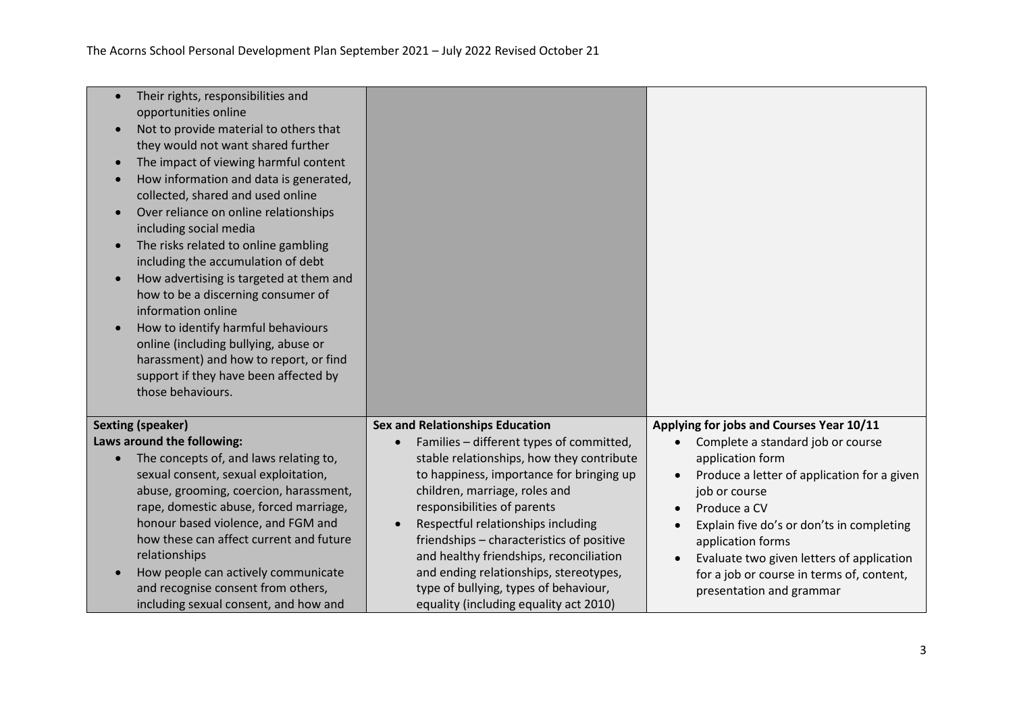| Their rights, responsibilities and<br>$\bullet$<br>opportunities online<br>Not to provide material to others that<br>$\bullet$<br>they would not want shared further<br>The impact of viewing harmful content<br>$\bullet$<br>How information and data is generated,<br>$\bullet$<br>collected, shared and used online<br>Over reliance on online relationships<br>$\bullet$<br>including social media<br>The risks related to online gambling<br>$\bullet$<br>including the accumulation of debt<br>How advertising is targeted at them and<br>$\bullet$<br>how to be a discerning consumer of<br>information online<br>How to identify harmful behaviours<br>$\bullet$<br>online (including bullying, abuse or<br>harassment) and how to report, or find<br>support if they have been affected by<br>those behaviours. |                                                                                                                                                                                                                                                                                                                                                                                                                                                                           |                                                                                                                                                                                                                                                                                                                                                                                   |
|--------------------------------------------------------------------------------------------------------------------------------------------------------------------------------------------------------------------------------------------------------------------------------------------------------------------------------------------------------------------------------------------------------------------------------------------------------------------------------------------------------------------------------------------------------------------------------------------------------------------------------------------------------------------------------------------------------------------------------------------------------------------------------------------------------------------------|---------------------------------------------------------------------------------------------------------------------------------------------------------------------------------------------------------------------------------------------------------------------------------------------------------------------------------------------------------------------------------------------------------------------------------------------------------------------------|-----------------------------------------------------------------------------------------------------------------------------------------------------------------------------------------------------------------------------------------------------------------------------------------------------------------------------------------------------------------------------------|
| <b>Sexting (speaker)</b><br>Laws around the following:                                                                                                                                                                                                                                                                                                                                                                                                                                                                                                                                                                                                                                                                                                                                                                   | <b>Sex and Relationships Education</b>                                                                                                                                                                                                                                                                                                                                                                                                                                    | Applying for jobs and Courses Year 10/11                                                                                                                                                                                                                                                                                                                                          |
| The concepts of, and laws relating to,<br>$\bullet$<br>sexual consent, sexual exploitation,<br>abuse, grooming, coercion, harassment,<br>rape, domestic abuse, forced marriage,<br>honour based violence, and FGM and<br>how these can affect current and future<br>relationships<br>How people can actively communicate<br>and recognise consent from others,<br>including sexual consent, and how and                                                                                                                                                                                                                                                                                                                                                                                                                  | Families - different types of committed,<br>$\bullet$<br>stable relationships, how they contribute<br>to happiness, importance for bringing up<br>children, marriage, roles and<br>responsibilities of parents<br>Respectful relationships including<br>friendships - characteristics of positive<br>and healthy friendships, reconciliation<br>and ending relationships, stereotypes,<br>type of bullying, types of behaviour,<br>equality (including equality act 2010) | Complete a standard job or course<br>$\bullet$<br>application form<br>Produce a letter of application for a given<br>$\bullet$<br>job or course<br>Produce a CV<br>$\bullet$<br>Explain five do's or don'ts in completing<br>$\bullet$<br>application forms<br>Evaluate two given letters of application<br>for a job or course in terms of, content,<br>presentation and grammar |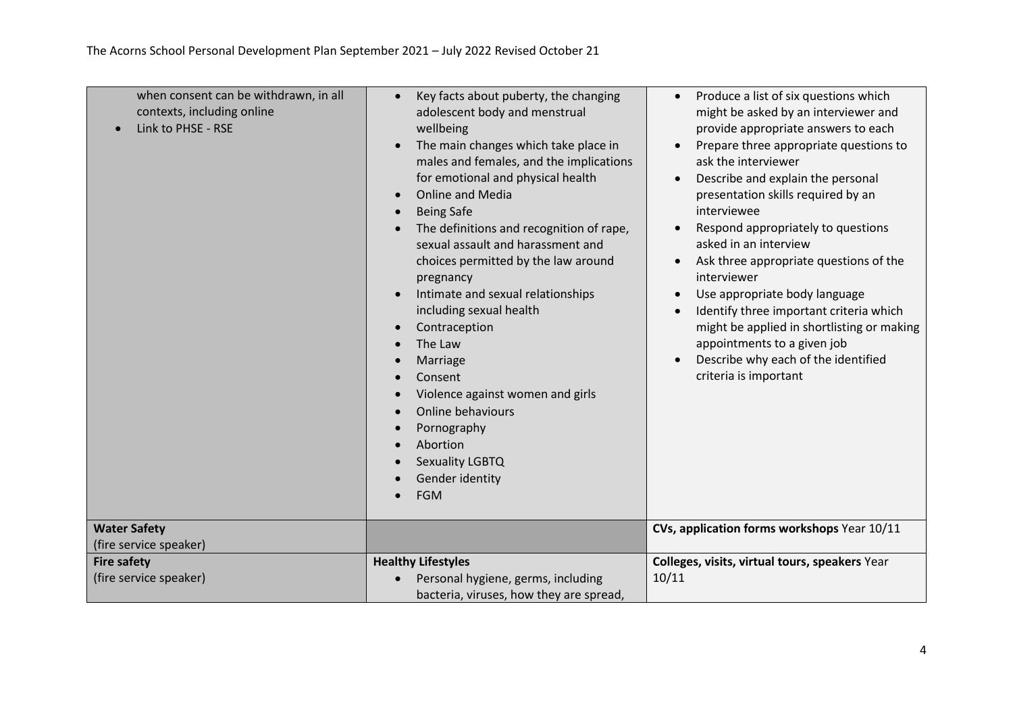| when consent can be withdrawn, in all<br>contexts, including online<br>Link to PHSE - RSE | Key facts about puberty, the changing<br>$\bullet$<br>adolescent body and menstrual<br>wellbeing<br>The main changes which take place in<br>males and females, and the implications<br>for emotional and physical health<br><b>Online and Media</b><br>$\bullet$<br><b>Being Safe</b><br>$\bullet$<br>The definitions and recognition of rape,<br>sexual assault and harassment and<br>choices permitted by the law around<br>pregnancy<br>Intimate and sexual relationships<br>$\bullet$<br>including sexual health<br>Contraception<br>The Law<br>Marriage<br>Consent<br>Violence against women and girls<br>$\bullet$<br>Online behaviours<br>Pornography<br>Abortion<br>Sexuality LGBTQ<br>Gender identity<br><b>FGM</b> | Produce a list of six questions which<br>$\bullet$<br>might be asked by an interviewer and<br>provide appropriate answers to each<br>Prepare three appropriate questions to<br>ask the interviewer<br>Describe and explain the personal<br>$\bullet$<br>presentation skills required by an<br>interviewee<br>Respond appropriately to questions<br>$\bullet$<br>asked in an interview<br>Ask three appropriate questions of the<br>$\bullet$<br>interviewer<br>Use appropriate body language<br>$\bullet$<br>Identify three important criteria which<br>$\bullet$<br>might be applied in shortlisting or making<br>appointments to a given job<br>Describe why each of the identified<br>$\bullet$<br>criteria is important |
|-------------------------------------------------------------------------------------------|------------------------------------------------------------------------------------------------------------------------------------------------------------------------------------------------------------------------------------------------------------------------------------------------------------------------------------------------------------------------------------------------------------------------------------------------------------------------------------------------------------------------------------------------------------------------------------------------------------------------------------------------------------------------------------------------------------------------------|-----------------------------------------------------------------------------------------------------------------------------------------------------------------------------------------------------------------------------------------------------------------------------------------------------------------------------------------------------------------------------------------------------------------------------------------------------------------------------------------------------------------------------------------------------------------------------------------------------------------------------------------------------------------------------------------------------------------------------|
| <b>Water Safety</b><br>(fire service speaker)                                             |                                                                                                                                                                                                                                                                                                                                                                                                                                                                                                                                                                                                                                                                                                                              | CVs, application forms workshops Year 10/11                                                                                                                                                                                                                                                                                                                                                                                                                                                                                                                                                                                                                                                                                 |
| <b>Fire safety</b>                                                                        | <b>Healthy Lifestyles</b>                                                                                                                                                                                                                                                                                                                                                                                                                                                                                                                                                                                                                                                                                                    | Colleges, visits, virtual tours, speakers Year                                                                                                                                                                                                                                                                                                                                                                                                                                                                                                                                                                                                                                                                              |
| (fire service speaker)                                                                    | Personal hygiene, germs, including<br>bacteria, viruses, how they are spread,                                                                                                                                                                                                                                                                                                                                                                                                                                                                                                                                                                                                                                                | 10/11                                                                                                                                                                                                                                                                                                                                                                                                                                                                                                                                                                                                                                                                                                                       |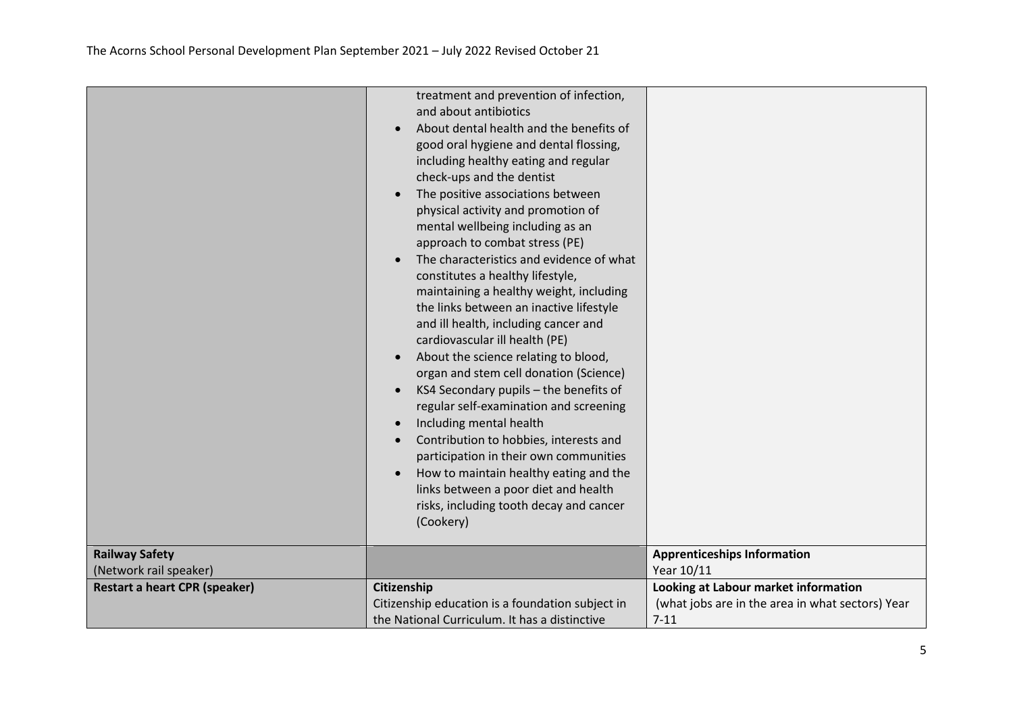|                                                 | treatment and prevention of infection,<br>and about antibiotics<br>About dental health and the benefits of<br>good oral hygiene and dental flossing,<br>including healthy eating and regular<br>check-ups and the dentist<br>The positive associations between<br>physical activity and promotion of<br>mental wellbeing including as an<br>approach to combat stress (PE)<br>The characteristics and evidence of what<br>constitutes a healthy lifestyle,<br>maintaining a healthy weight, including<br>the links between an inactive lifestyle<br>and ill health, including cancer and<br>cardiovascular ill health (PE)<br>About the science relating to blood,<br>$\bullet$<br>organ and stem cell donation (Science)<br>KS4 Secondary pupils - the benefits of<br>$\bullet$<br>regular self-examination and screening<br>Including mental health<br>$\bullet$<br>Contribution to hobbies, interests and<br>participation in their own communities<br>How to maintain healthy eating and the<br>links between a poor diet and health<br>risks, including tooth decay and cancer<br>(Cookery) |                                                  |
|-------------------------------------------------|--------------------------------------------------------------------------------------------------------------------------------------------------------------------------------------------------------------------------------------------------------------------------------------------------------------------------------------------------------------------------------------------------------------------------------------------------------------------------------------------------------------------------------------------------------------------------------------------------------------------------------------------------------------------------------------------------------------------------------------------------------------------------------------------------------------------------------------------------------------------------------------------------------------------------------------------------------------------------------------------------------------------------------------------------------------------------------------------------|--------------------------------------------------|
| <b>Railway Safety</b><br>(Network rail speaker) |                                                                                                                                                                                                                                                                                                                                                                                                                                                                                                                                                                                                                                                                                                                                                                                                                                                                                                                                                                                                                                                                                                  | <b>Apprenticeships Information</b><br>Year 10/11 |
| <b>Restart a heart CPR (speaker)</b>            | Citizenship                                                                                                                                                                                                                                                                                                                                                                                                                                                                                                                                                                                                                                                                                                                                                                                                                                                                                                                                                                                                                                                                                      | Looking at Labour market information             |
|                                                 | Citizenship education is a foundation subject in                                                                                                                                                                                                                                                                                                                                                                                                                                                                                                                                                                                                                                                                                                                                                                                                                                                                                                                                                                                                                                                 | (what jobs are in the area in what sectors) Year |
|                                                 | the National Curriculum. It has a distinctive                                                                                                                                                                                                                                                                                                                                                                                                                                                                                                                                                                                                                                                                                                                                                                                                                                                                                                                                                                                                                                                    | $7 - 11$                                         |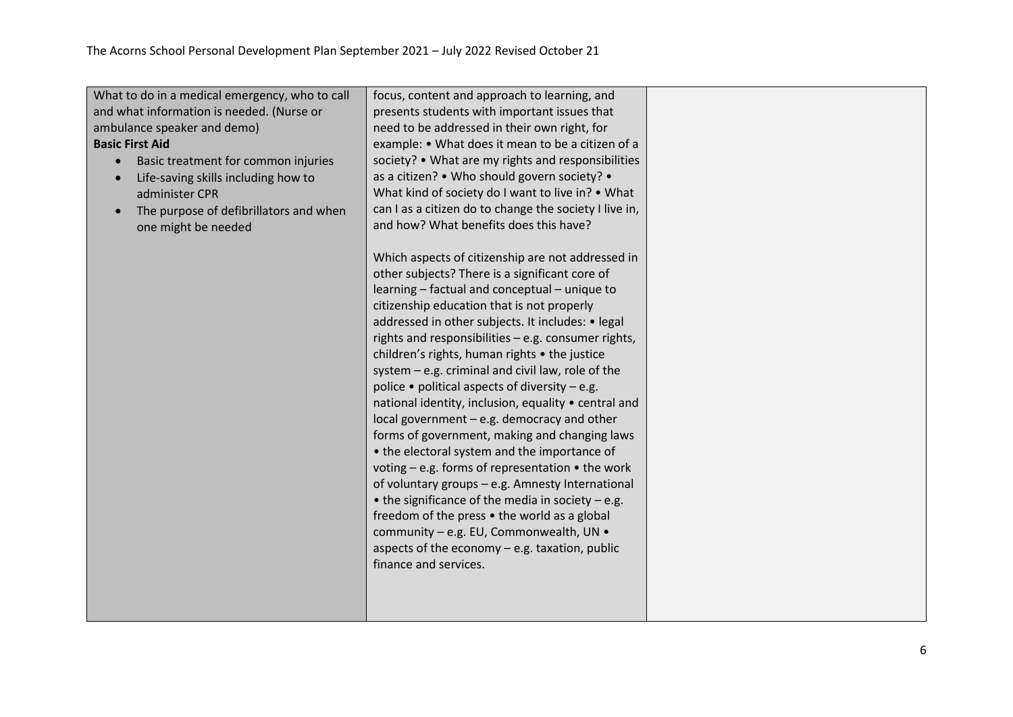| What to do in a medical emergency, who to call<br>and what information is needed. (Nurse or<br>ambulance speaker and demo)<br><b>Basic First Aid</b><br>Basic treatment for common injuries<br>$\bullet$<br>Life-saving skills including how to<br>administer CPR<br>The purpose of defibrillators and when<br>$\bullet$<br>one might be needed | focus, content and approach to learning, and<br>presents students with important issues that<br>need to be addressed in their own right, for<br>example: • What does it mean to be a citizen of a<br>society? • What are my rights and responsibilities<br>as a citizen? • Who should govern society? •<br>What kind of society do I want to live in? • What<br>can I as a citizen do to change the society I live in,<br>and how? What benefits does this have?<br>Which aspects of citizenship are not addressed in<br>other subjects? There is a significant core of<br>learning - factual and conceptual - unique to<br>citizenship education that is not properly<br>addressed in other subjects. It includes: • legal<br>rights and responsibilities - e.g. consumer rights,<br>children's rights, human rights • the justice<br>system - e.g. criminal and civil law, role of the<br>police $\bullet$ political aspects of diversity – e.g.<br>national identity, inclusion, equality • central and<br>local government - e.g. democracy and other<br>forms of government, making and changing laws<br>• the electoral system and the importance of<br>voting - e.g. forms of representation • the work |  |
|-------------------------------------------------------------------------------------------------------------------------------------------------------------------------------------------------------------------------------------------------------------------------------------------------------------------------------------------------|----------------------------------------------------------------------------------------------------------------------------------------------------------------------------------------------------------------------------------------------------------------------------------------------------------------------------------------------------------------------------------------------------------------------------------------------------------------------------------------------------------------------------------------------------------------------------------------------------------------------------------------------------------------------------------------------------------------------------------------------------------------------------------------------------------------------------------------------------------------------------------------------------------------------------------------------------------------------------------------------------------------------------------------------------------------------------------------------------------------------------------------------------------------------------------------------------------------|--|
|                                                                                                                                                                                                                                                                                                                                                 | of voluntary groups - e.g. Amnesty International<br>$\bullet$ the significance of the media in society - e.g.<br>freedom of the press • the world as a global<br>community - e.g. EU, Commonwealth, UN .<br>aspects of the economy $-$ e.g. taxation, public<br>finance and services.                                                                                                                                                                                                                                                                                                                                                                                                                                                                                                                                                                                                                                                                                                                                                                                                                                                                                                                          |  |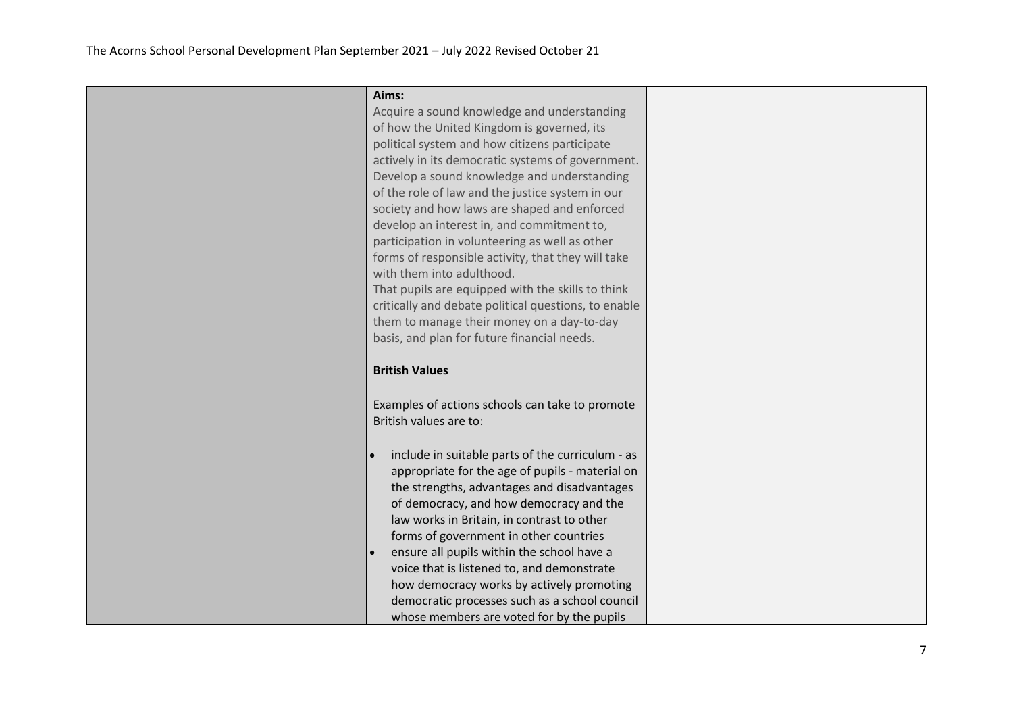| Aims:<br>Acquire a sound knowledge and understanding<br>of how the United Kingdom is governed, its<br>political system and how citizens participate<br>actively in its democratic systems of government.<br>Develop a sound knowledge and understanding<br>of the role of law and the justice system in our<br>society and how laws are shaped and enforced<br>develop an interest in, and commitment to,<br>participation in volunteering as well as other<br>forms of responsible activity, that they will take<br>with them into adulthood.<br>That pupils are equipped with the skills to think<br>critically and debate political questions, to enable<br>them to manage their money on a day-to-day |  |
|-----------------------------------------------------------------------------------------------------------------------------------------------------------------------------------------------------------------------------------------------------------------------------------------------------------------------------------------------------------------------------------------------------------------------------------------------------------------------------------------------------------------------------------------------------------------------------------------------------------------------------------------------------------------------------------------------------------|--|
| basis, and plan for future financial needs.<br><b>British Values</b>                                                                                                                                                                                                                                                                                                                                                                                                                                                                                                                                                                                                                                      |  |
| Examples of actions schools can take to promote<br>British values are to:                                                                                                                                                                                                                                                                                                                                                                                                                                                                                                                                                                                                                                 |  |
| include in suitable parts of the curriculum - as<br>appropriate for the age of pupils - material on<br>the strengths, advantages and disadvantages<br>of democracy, and how democracy and the<br>law works in Britain, in contrast to other<br>forms of government in other countries<br>ensure all pupils within the school have a<br>voice that is listened to, and demonstrate<br>how democracy works by actively promoting<br>democratic processes such as a school council<br>whose members are voted for by the pupils                                                                                                                                                                              |  |